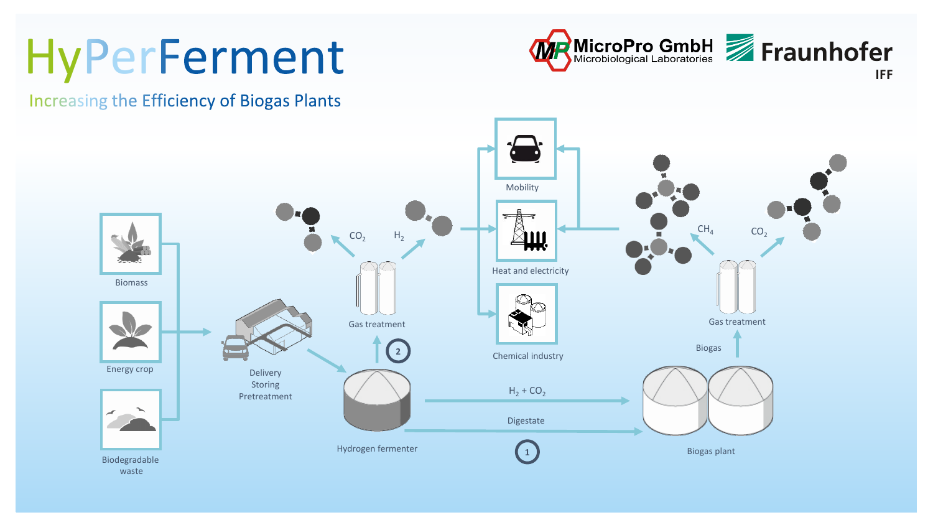# HyPerFerment



**Increasing the Efficiency of Biogas Plants**